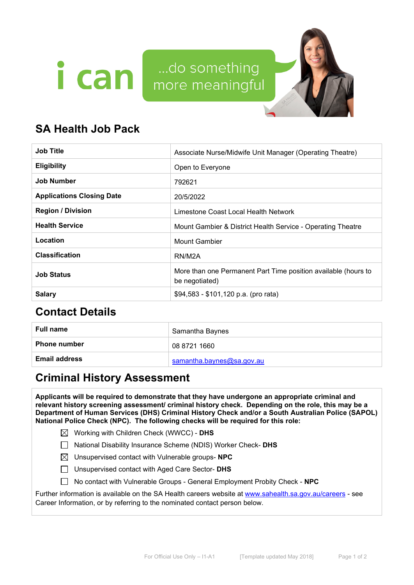



# **SA Health Job Pack**

| <b>Job Title</b>                 | Associate Nurse/Midwife Unit Manager (Operating Theatre)                         |  |
|----------------------------------|----------------------------------------------------------------------------------|--|
| <b>Eligibility</b>               | Open to Everyone                                                                 |  |
| <b>Job Number</b>                | 792621                                                                           |  |
| <b>Applications Closing Date</b> | 20/5/2022                                                                        |  |
| <b>Region / Division</b>         | Limestone Coast Local Health Network                                             |  |
| <b>Health Service</b>            | Mount Gambier & District Health Service - Operating Theatre                      |  |
| Location                         | Mount Gambier                                                                    |  |
| <b>Classification</b>            | RN/M2A                                                                           |  |
| <b>Job Status</b>                | More than one Permanent Part Time position available (hours to<br>be negotiated) |  |
| <b>Salary</b>                    | \$94,583 - \$101,120 p.a. (pro rata)                                             |  |

# **Contact Details**

| <b>Full name</b>     | Samantha Baynes           |
|----------------------|---------------------------|
| <b>Phone number</b>  | 08 8721 1660              |
| <b>Email address</b> | samantha.baynes@sa.gov.au |

# **Criminal History Assessment**

**Applicants will be required to demonstrate that they have undergone an appropriate criminal and relevant history screening assessment/ criminal history check. Depending on the role, this may be a Department of Human Services (DHS) Criminal History Check and/or a South Australian Police (SAPOL) National Police Check (NPC). The following checks will be required for this role:**

Working with Children Check (WWCC) - **DHS**

National Disability Insurance Scheme (NDIS) Worker Check- **DHS**

Unsupervised contact with Vulnerable groups- **NPC**

Unsupervised contact with Aged Care Sector- **DHS**

No contact with Vulnerable Groups - General Employment Probity Check - **NPC**

Further information is available on the SA Health careers website at [www.sahealth.sa.gov.au/careers](http://www.sahealth.sa.gov.au/careers) - see Career Information, or by referring to the nominated contact person below.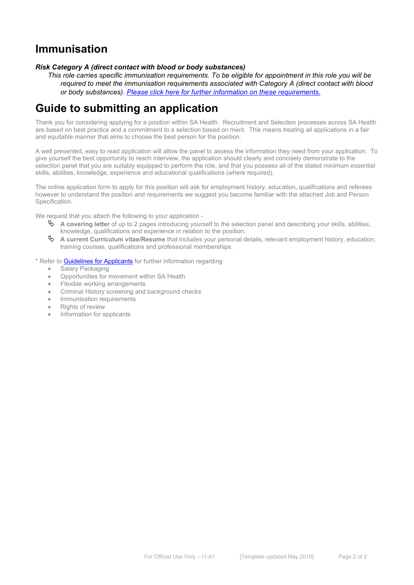# **Immunisation**

#### *Risk Category A (direct contact with blood or body substances)*

*This role carries specific immunisation requirements. To be eligible for appointment in this role you will be required to meet the immunisation requirements associated with Category A (direct contact with blood or body substances). [Please click here for further information on these requirements.](https://www.sahealth.sa.gov.au/wps/wcm/connect/public+content/sa+health+internet/clinical+resources/clinical+programs+and+practice+guidelines/immunisation+for+health+professionals/health+care+worker+immunisation+requirements)*

# **Guide to submitting an application**

Thank you for considering applying for a position within SA Health. Recruitment and Selection processes across SA Health are based on best practice and a commitment to a selection based on merit. This means treating all applications in a fair and equitable manner that aims to choose the best person for the position.

A well presented, easy to read application will allow the panel to assess the information they need from your application. To give yourself the best opportunity to reach interview, the application should clearly and concisely demonstrate to the selection panel that you are suitably equipped to perform the role, and that you possess all of the stated minimum essential skills, abilities, knowledge, experience and educational qualifications (where required).

The online application form to apply for this position will ask for employment history, education, qualifications and referees however to understand the position and requirements we suggest you become familiar with the attached Job and Person Specification.

We request that you attach the following to your application -

- **A covering letter** of up to 2 pages introducing yourself to the selection panel and describing your skills, abilities, knowledge, qualifications and experience in relation to the position;
- **A current Curriculum vitae/Resume** that includes your personal details, relevant employment history, education, training courses, qualifications and professional memberships.
- \* Refer t[o Guidelines for Applicants](https://www.sahealth.sa.gov.au/wps/wcm/connect/public+content/sa+health+internet/careers/guidelines+for+applicants/guidelines+when+applying+for+a+job+in+sa+health) for further information regarding
	- Salary Packaging
	- Opportunities for movement within SA Health
	- Flexible working arrangements
	- Criminal History screening and background checks
	- Immunisation requirements
	- Rights of review
	- Information for applicants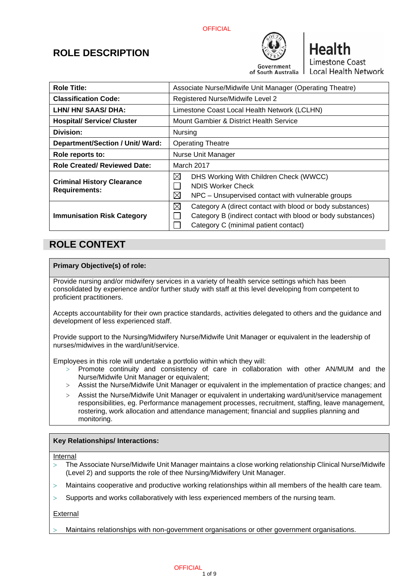**OFFICIAL** 



**Health** Limestone Coast Local Health Network

## **ROLE DESCRIPTION**

| <b>Role Title:</b>                                        | Associate Nurse/Midwife Unit Manager (Operating Theatre)                                                                                                              |  |
|-----------------------------------------------------------|-----------------------------------------------------------------------------------------------------------------------------------------------------------------------|--|
| <b>Classification Code:</b>                               | Registered Nurse/Midwife Level 2                                                                                                                                      |  |
| LHN/ HN/ SAAS/ DHA:                                       | Limestone Coast Local Health Network (LCLHN)                                                                                                                          |  |
| <b>Hospital/ Service/ Cluster</b>                         | Mount Gambier & District Health Service                                                                                                                               |  |
| Division:                                                 | <b>Nursing</b>                                                                                                                                                        |  |
| Department/Section / Unit/ Ward:                          | <b>Operating Theatre</b>                                                                                                                                              |  |
| Role reports to:                                          | Nurse Unit Manager                                                                                                                                                    |  |
| <b>Role Created/ Reviewed Date:</b>                       | March 2017                                                                                                                                                            |  |
| <b>Criminal History Clearance</b><br><b>Requirements:</b> | ⊠<br>DHS Working With Children Check (WWCC)<br>NDIS Worker Check<br>⊠<br>NPC – Unsupervised contact with vulnerable groups                                            |  |
| <b>Immunisation Risk Category</b>                         | ⊠<br>Category A (direct contact with blood or body substances)<br>Category B (indirect contact with blood or body substances)<br>Category C (minimal patient contact) |  |

## **ROLE CONTEXT**

#### **Primary Objective(s) of role:**

Provide nursing and/or midwifery services in a variety of health service settings which has been consolidated by experience and/or further study with staff at this level developing from competent to proficient practitioners.

Accepts accountability for their own practice standards, activities delegated to others and the guidance and development of less experienced staff.

Provide support to the Nursing/Midwifery Nurse/Midwife Unit Manager or equivalent in the leadership of nurses/midwives in the ward/unit/service.

Employees in this role will undertake a portfolio within which they will:

- $>$  Promote continuity and consistency of care in collaboration with other AN/MUM and the Nurse/Midwife Unit Manager or equivalent;
- > Assist the Nurse/Midwife Unit Manager or equivalent in the implementation of practice changes; and
- > Assist the Nurse/Midwife Unit Manager or equivalent in undertaking ward/unit/service management responsibilities, eg. Performance management processes, recruitment, staffing, leave management, rostering, work allocation and attendance management; financial and supplies planning and monitoring.

#### **Key Relationships/ Interactions:**

#### Internal

- The Associate Nurse/Midwife Unit Manager maintains a close working relationship Clinical Nurse/Midwife (Level 2) and supports the role of thee Nursing/Midwifery Unit Manager.
- $>$  Maintains cooperative and productive working relationships within all members of the health care team.
- $>$  Supports and works collaboratively with less experienced members of the nursing team.

External

Maintains relationships with non-government organisations or other government organisations.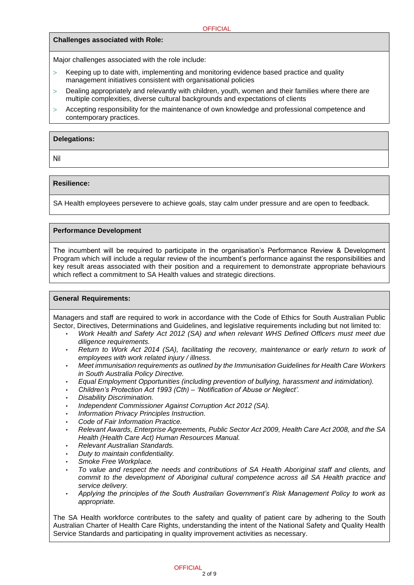#### **Challenges associated with Role:**

Major challenges associated with the role include:

- Keeping up to date with, implementing and monitoring evidence based practice and quality management initiatives consistent with organisational policies
- Dealing appropriately and relevantly with children, youth, women and their families where there are multiple complexities, diverse cultural backgrounds and expectations of clients
- Accepting responsibility for the maintenance of own knowledge and professional competence and contemporary practices.

#### **Delegations:**

Nil

#### **Resilience:**

SA Health employees persevere to achieve goals, stay calm under pressure and are open to feedback.

#### **Performance Development**

The incumbent will be required to participate in the organisation's Performance Review & Development Program which will include a regular review of the incumbent's performance against the responsibilities and key result areas associated with their position and a requirement to demonstrate appropriate behaviours which reflect a commitment to SA Health values and strategic directions.

#### **General Requirements:**

Managers and staff are required to work in accordance with the Code of Ethics for South Australian Public Sector, Directives, Determinations and Guidelines, and legislative requirements including but not limited to:

- *Work Health and Safety Act 2012 (SA) and when relevant WHS Defined Officers must meet due diligence requirements.*
- *Return to Work Act 2014 (SA), facilitating the recovery, maintenance or early return to work of employees with work related injury / illness.*
- *Meet immunisation requirements as outlined by the Immunisation Guidelines for Health Care Workers in South Australia Policy Directive.*
- *Equal Employment Opportunities (including prevention of bullying, harassment and intimidation).*
- *Children's Protection Act 1993 (Cth) – 'Notification of Abuse or Neglect'.*
- *Disability Discrimination.*
- *Independent Commissioner Against Corruption Act 2012 (SA).*
- *Information Privacy Principles Instruction.*
- *Code of Fair Information Practice.*
- *Relevant Awards, Enterprise Agreements, Public Sector Act 2009, Health Care Act 2008, and the SA Health (Health Care Act) Human Resources Manual.*
- *Relevant Australian Standards.*
- *Duty to maintain confidentiality.*
- *Smoke Free Workplace.*
- *To value and respect the needs and contributions of SA Health Aboriginal staff and clients, and commit to the development of Aboriginal cultural competence across all SA Health practice and service delivery.*
- *Applying the principles of the South Australian Government's Risk Management Policy to work as appropriate.*

The SA Health workforce contributes to the safety and quality of patient care by adhering to the South Australian Charter of Health Care Rights, understanding the intent of the National Safety and Quality Health Service Standards and participating in quality improvement activities as necessary.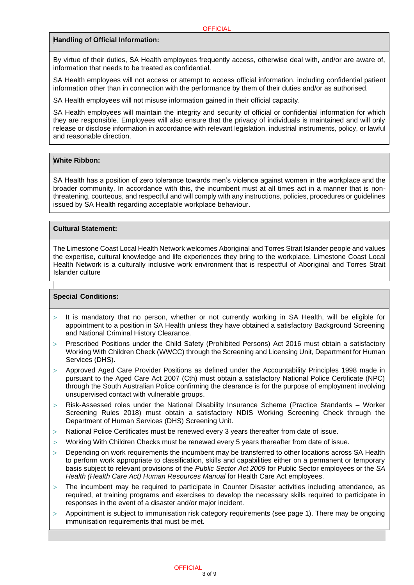#### **Handling of Official Information:**

By virtue of their duties, SA Health employees frequently access, otherwise deal with, and/or are aware of, information that needs to be treated as confidential.

SA Health employees will not access or attempt to access official information, including confidential patient information other than in connection with the performance by them of their duties and/or as authorised.

SA Health employees will not misuse information gained in their official capacity.

SA Health employees will maintain the integrity and security of official or confidential information for which they are responsible. Employees will also ensure that the privacy of individuals is maintained and will only release or disclose information in accordance with relevant legislation, industrial instruments, policy, or lawful and reasonable direction.

#### **White Ribbon:**

SA Health has a position of zero tolerance towards men's violence against women in the workplace and the broader community. In accordance with this, the incumbent must at all times act in a manner that is nonthreatening, courteous, and respectful and will comply with any instructions, policies, procedures or guidelines issued by SA Health regarding acceptable workplace behaviour.

#### **Cultural Statement:**

The Limestone Coast Local Health Network welcomes Aboriginal and Torres Strait Islander people and values the expertise, cultural knowledge and life experiences they bring to the workplace. Limestone Coast Local Health Network is a culturally inclusive work environment that is respectful of Aboriginal and Torres Strait Islander culture

#### **Special Conditions:**

- $>$  It is mandatory that no person, whether or not currently working in SA Health, will be eligible for appointment to a position in SA Health unless they have obtained a satisfactory Background Screening and National Criminal History Clearance.
- Prescribed Positions under the Child Safety (Prohibited Persons) Act 2016 must obtain a satisfactory Working With Children Check (WWCC) through the Screening and Licensing Unit, Department for Human Services (DHS).
- Approved Aged Care Provider Positions as defined under the Accountability Principles 1998 made in pursuant to the Aged Care Act 2007 (Cth) must obtain a satisfactory National Police Certificate (NPC) through the South Australian Police confirming the clearance is for the purpose of employment involving unsupervised contact with vulnerable groups.
- Risk-Assessed roles under the National Disability Insurance Scheme (Practice Standards Worker Screening Rules 2018) must obtain a satisfactory NDIS Working Screening Check through the Department of Human Services (DHS) Screening Unit.
- National Police Certificates must be renewed every 3 years thereafter from date of issue.
- Working With Children Checks must be renewed every 5 years thereafter from date of issue.
- $>$  Depending on work requirements the incumbent may be transferred to other locations across SA Health to perform work appropriate to classification, skills and capabilities either on a permanent or temporary basis subject to relevant provisions of the *Public Sector Act 2009* for Public Sector employees or the *SA Health (Health Care Act) Human Resources Manual* for Health Care Act employees.
- The incumbent may be required to participate in Counter Disaster activities including attendance, as required, at training programs and exercises to develop the necessary skills required to participate in responses in the event of a disaster and/or major incident.
- $>$  Appointment is subject to immunisation risk category requirements (see page 1). There may be ongoing immunisation requirements that must be met.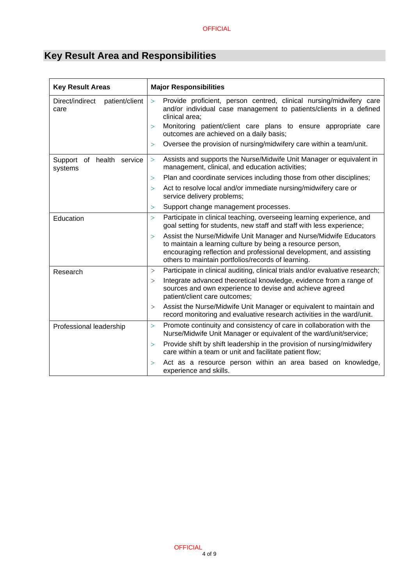# **Key Result Area and Responsibilities**

| <b>Key Result Areas</b>                    | <b>Major Responsibilities</b>                                                                                                                                                                                                                                                                                                                                                  |  |
|--------------------------------------------|--------------------------------------------------------------------------------------------------------------------------------------------------------------------------------------------------------------------------------------------------------------------------------------------------------------------------------------------------------------------------------|--|
| patient/client<br>Direct/indirect<br>care  | Provide proficient, person centred, clinical nursing/midwifery care<br>$\geq$<br>and/or individual case management to patients/clients in a defined<br>clinical area;<br>Monitoring patient/client care plans to ensure appropriate care<br>$\geq$<br>outcomes are achieved on a daily basis;<br>Oversee the provision of nursing/midwifery care within a team/unit.<br>$\geq$ |  |
| health service<br>Support<br>of<br>systems | Assists and supports the Nurse/Midwife Unit Manager or equivalent in<br>$\geq$<br>management, clinical, and education activities;                                                                                                                                                                                                                                              |  |
|                                            | Plan and coordinate services including those from other disciplines;<br>$\geq$                                                                                                                                                                                                                                                                                                 |  |
|                                            | Act to resolve local and/or immediate nursing/midwifery care or<br>$\geq$<br>service delivery problems;                                                                                                                                                                                                                                                                        |  |
|                                            | Support change management processes.<br>$\geq$                                                                                                                                                                                                                                                                                                                                 |  |
| Education                                  | Participate in clinical teaching, overseeing learning experience, and<br>$\geq$<br>goal setting for students, new staff and staff with less experience;                                                                                                                                                                                                                        |  |
|                                            | Assist the Nurse/Midwife Unit Manager and Nurse/Midwife Educators<br>$\geq$<br>to maintain a learning culture by being a resource person,<br>encouraging reflection and professional development, and assisting<br>others to maintain portfolios/records of learning.                                                                                                          |  |
| Research                                   | Participate in clinical auditing, clinical trials and/or evaluative research;<br>>                                                                                                                                                                                                                                                                                             |  |
|                                            | Integrate advanced theoretical knowledge, evidence from a range of<br>><br>sources and own experience to devise and achieve agreed<br>patient/client care outcomes;                                                                                                                                                                                                            |  |
|                                            | Assist the Nurse/Midwife Unit Manager or equivalent to maintain and<br>><br>record monitoring and evaluative research activities in the ward/unit.                                                                                                                                                                                                                             |  |
| Professional leadership                    | Promote continuity and consistency of care in collaboration with the<br>$\geq$<br>Nurse/Midwife Unit Manager or equivalent of the ward/unit/service;                                                                                                                                                                                                                           |  |
|                                            | Provide shift by shift leadership in the provision of nursing/midwifery<br>$\geq$<br>care within a team or unit and facilitate patient flow;                                                                                                                                                                                                                                   |  |
|                                            | Act as a resource person within an area based on knowledge,<br>$\geq$<br>experience and skills.                                                                                                                                                                                                                                                                                |  |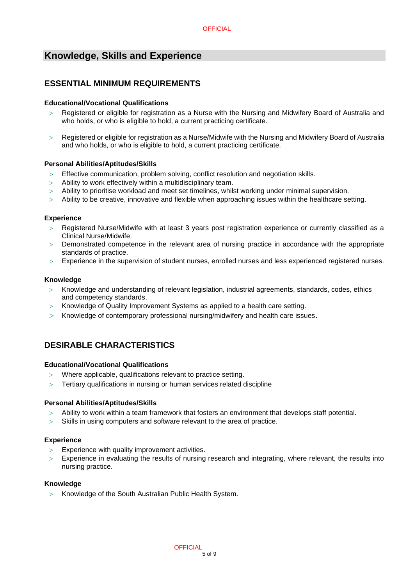## **Knowledge, Skills and Experience**

### **ESSENTIAL MINIMUM REQUIREMENTS**

#### **Educational/Vocational Qualifications**

- Registered or eligible for registration as a Nurse with the Nursing and Midwifery Board of Australia and who holds, or who is eligible to hold, a current practicing certificate.
- Registered or eligible for registration as a Nurse/Midwife with the Nursing and Midwifery Board of Australia and who holds, or who is eligible to hold, a current practicing certificate.

#### **Personal Abilities/Aptitudes/Skills**

- Effective communication, problem solving, conflict resolution and negotiation skills.
- $>$  Ability to work effectively within a multidisciplinary team.
- Ability to prioritise workload and meet set timelines, whilst working under minimal supervision.
- Ability to be creative, innovative and flexible when approaching issues within the healthcare setting.

#### **Experience**

- Registered Nurse/Midwife with at least 3 years post registration experience or currently classified as a Clinical Nurse/Midwife.
- Demonstrated competence in the relevant area of nursing practice in accordance with the appropriate standards of practice.
- Experience in the supervision of student nurses, enrolled nurses and less experienced registered nurses.

#### **Knowledge**

- $>$  Knowledge and understanding of relevant legislation, industrial agreements, standards, codes, ethics and competency standards.
- Knowledge of Quality Improvement Systems as applied to a health care setting.
- $>$  Knowledge of contemporary professional nursing/midwifery and health care issues.

### **DESIRABLE CHARACTERISTICS**

#### **Educational/Vocational Qualifications**

- Where applicable, qualifications relevant to practice setting.
- Tertiary qualifications in nursing or human services related discipline

#### **Personal Abilities/Aptitudes/Skills**

- Ability to work within a team framework that fosters an environment that develops staff potential.
- $>$  Skills in using computers and software relevant to the area of practice.

#### **Experience**

- $>$  Experience with quality improvement activities.
- Experience in evaluating the results of nursing research and integrating, where relevant, the results into nursing practice.

#### **Knowledge**

> Knowledge of the South Australian Public Health System.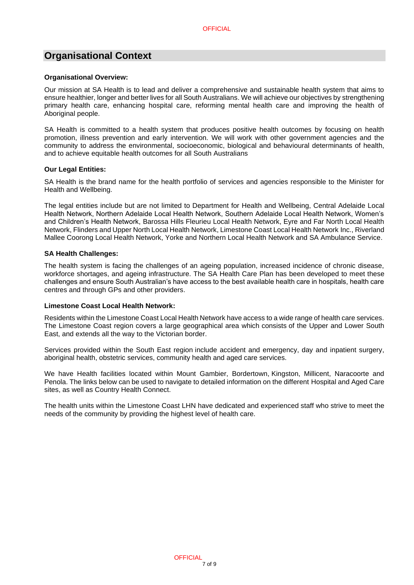## **Organisational Context**

#### **Organisational Overview:**

Our mission at SA Health is to lead and deliver a comprehensive and sustainable health system that aims to ensure healthier, longer and better lives for all South Australians. We will achieve our objectives by strengthening primary health care, enhancing hospital care, reforming mental health care and improving the health of Aboriginal people.

SA Health is committed to a health system that produces positive health outcomes by focusing on health promotion, illness prevention and early intervention. We will work with other government agencies and the community to address the environmental, socioeconomic, biological and behavioural determinants of health, and to achieve equitable health outcomes for all South Australians

#### **Our Legal Entities:**

SA Health is the brand name for the health portfolio of services and agencies responsible to the Minister for Health and Wellbeing.

The legal entities include but are not limited to Department for Health and Wellbeing, Central Adelaide Local Health Network, Northern Adelaide Local Health Network, Southern Adelaide Local Health Network, Women's and Children's Health Network, Barossa Hills Fleurieu Local Health Network, Eyre and Far North Local Health Network, Flinders and Upper North Local Health Network, Limestone Coast Local Health Network Inc., Riverland Mallee Coorong Local Health Network, Yorke and Northern Local Health Network and SA Ambulance Service.

#### **SA Health Challenges:**

The health system is facing the challenges of an ageing population, increased incidence of chronic disease, workforce shortages, and ageing infrastructure. The SA Health Care Plan has been developed to meet these challenges and ensure South Australian's have access to the best available health care in hospitals, health care centres and through GPs and other providers.

#### **Limestone Coast Local Health Network:**

Residents within the Limestone Coast Local Health Network have access to a wide range of health care services. The Limestone Coast region covers a large geographical area which consists of the Upper and Lower South East, and extends all the way to the Victorian border.

Services provided within the South East region include accident and emergency, day and inpatient surgery, aboriginal health, obstetric services, community health and aged care services.

We have Health facilities located within Mount Gambier, Bordertown, Kingston, Millicent, Naracoorte and Penola. The links below can be used to navigate to detailed information on the different Hospital and Aged Care sites, as well as Country Health Connect.

The health units within the Limestone Coast LHN have dedicated and experienced staff who strive to meet the needs of the community by providing the highest level of health care.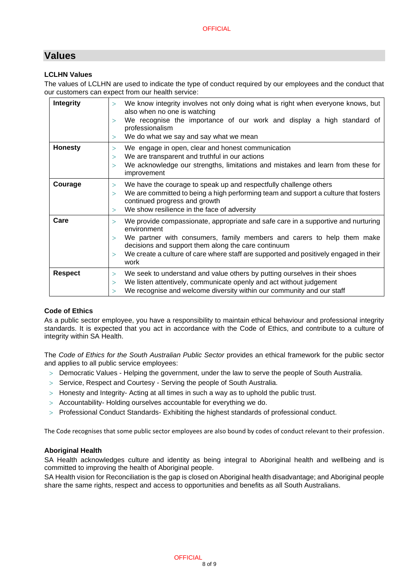## **Values**

#### **LCLHN Values**

The values of LCLHN are used to indicate the type of conduct required by our employees and the conduct that our customers can expect from our health service:

| Integrity      | We know integrity involves not only doing what is right when everyone knows, but<br>$\geq$<br>also when no one is watching<br>We recognise the importance of our work and display a high standard of<br>><br>professionalism<br>We do what we say and say what we mean<br>>                                                                            |  |
|----------------|--------------------------------------------------------------------------------------------------------------------------------------------------------------------------------------------------------------------------------------------------------------------------------------------------------------------------------------------------------|--|
|                |                                                                                                                                                                                                                                                                                                                                                        |  |
| <b>Honesty</b> | We engage in open, clear and honest communication<br>$\geq$<br>We are transparent and truthful in our actions<br>$\geq$<br>We acknowledge our strengths, limitations and mistakes and learn from these for<br>$\geq$<br>improvement                                                                                                                    |  |
| Courage        | We have the courage to speak up and respectfully challenge others<br>We are committed to being a high performing team and support a culture that fosters<br>continued progress and growth                                                                                                                                                              |  |
|                | We show resilience in the face of adversity<br>$\geq$                                                                                                                                                                                                                                                                                                  |  |
| Care           | We provide compassionate, appropriate and safe care in a supportive and nurturing<br>$\geq$<br>environment<br>We partner with consumers, family members and carers to help them make<br>decisions and support them along the care continuum<br>We create a culture of care where staff are supported and positively engaged in their<br>$\geq$<br>work |  |
| <b>Respect</b> | We seek to understand and value others by putting ourselves in their shoes<br>$\geq$<br>We listen attentively, communicate openly and act without judgement<br>$\geq$<br>We recognise and welcome diversity within our community and our staff<br>$\mathbf{r}$                                                                                         |  |

#### **Code of Ethics**

As a public sector employee, you have a responsibility to maintain ethical behaviour and professional integrity standards. It is expected that you act in accordance with the Code of Ethics, and contribute to a culture of integrity within SA Health.

The *Code of Ethics for the South Australian Public Sector* provides an ethical framework for the public sector and applies to all public service employees:

- Democratic Values Helping the government, under the law to serve the people of South Australia.
- > Service, Respect and Courtesy Serving the people of South Australia.
- $>$  Honesty and Integrity- Acting at all times in such a way as to uphold the public trust.
- Accountability- Holding ourselves accountable for everything we do.
- > Professional Conduct Standards- Exhibiting the highest standards of professional conduct.

The Code recognises that some public sector employees are also bound by codes of conduct relevant to their profession.

#### **Aboriginal Health**

SA Health acknowledges culture and identity as being integral to Aboriginal health and wellbeing and is committed to improving the health of Aboriginal people.

SA Health vision for Reconciliation is the gap is closed on Aboriginal health disadvantage; and Aboriginal people share the same rights, respect and access to opportunities and benefits as all South Australians.